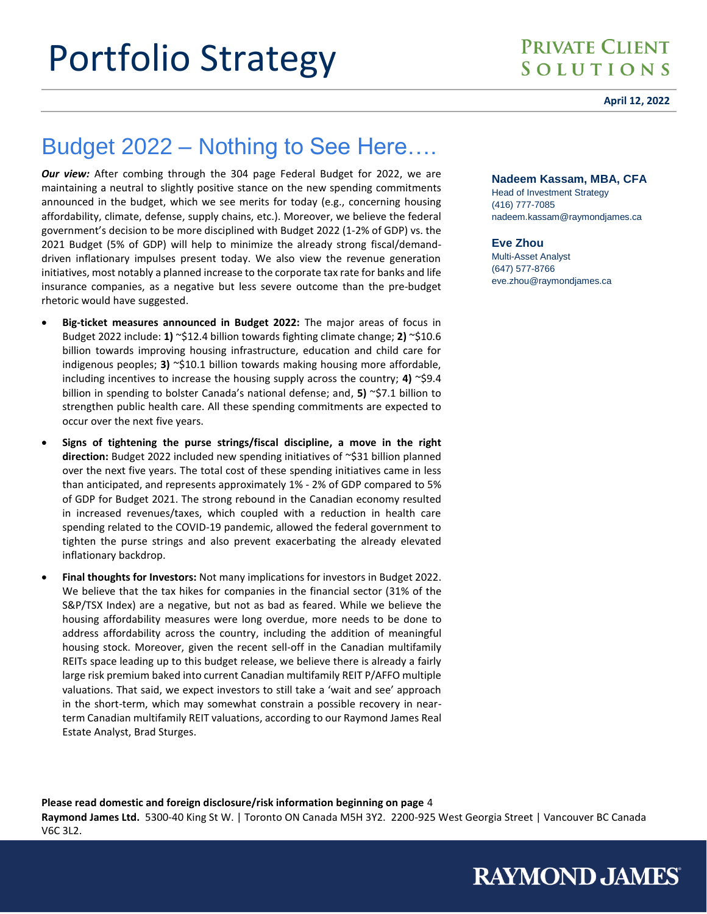#### **April 12, 2022**

# Budget 2022 – Nothing to See Here….

*Our view:* After combing through the 304 page Federal Budget for 2022, we are maintaining a neutral to slightly positive stance on the new spending commitments announced in the budget, which we see merits for today (e.g., concerning housing affordability, climate, defense, supply chains, etc.). Moreover, we believe the federal government's decision to be more disciplined with Budget 2022 (1-2% of GDP) vs. the 2021 Budget (5% of GDP) will help to minimize the already strong fiscal/demanddriven inflationary impulses present today. We also view the revenue generation initiatives, most notably a planned increase to the corporate tax rate for banks and life insurance companies, as a negative but less severe outcome than the pre-budget rhetoric would have suggested.

- **Big-ticket measures announced in Budget 2022:** The major areas of focus in Budget 2022 include: **1)** ~\$12.4 billion towards fighting climate change; **2)** ~\$10.6 billion towards improving housing infrastructure, education and child care for indigenous peoples; **3)** ~\$10.1 billion towards making housing more affordable, including incentives to increase the housing supply across the country; **4)** ~\$9.4 billion in spending to bolster Canada's national defense; and, **5)** ~\$7.1 billion to strengthen public health care. All these spending commitments are expected to occur over the next five years.
- **Signs of tightening the purse strings/fiscal discipline, a move in the right direction:** Budget 2022 included new spending initiatives of ~\$31 billion planned over the next five years. The total cost of these spending initiatives came in less than anticipated, and represents approximately 1% - 2% of GDP compared to 5% of GDP for Budget 2021. The strong rebound in the Canadian economy resulted in increased revenues/taxes, which coupled with a reduction in health care spending related to the COVID-19 pandemic, allowed the federal government to tighten the purse strings and also prevent exacerbating the already elevated inflationary backdrop.
- **Final thoughts for Investors:** Not many implications for investors in Budget 2022. We believe that the tax hikes for companies in the financial sector (31% of the S&P/TSX Index) are a negative, but not as bad as feared. While we believe the housing affordability measures were long overdue, more needs to be done to address affordability across the country, including the addition of meaningful housing stock. Moreover, given the recent sell-off in the Canadian multifamily REITs space leading up to this budget release, we believe there is already a fairly large risk premium baked into current Canadian multifamily REIT P/AFFO multiple valuations. That said, we expect investors to still take a 'wait and see' approach in the short-term, which may somewhat constrain a possible recovery in nearterm Canadian multifamily REIT valuations, according to our Raymond James Real Estate Analyst, Brad Sturges.

#### **Nadeem Kassam, MBA, CFA**

Head of Investment Strategy (416) 777-7085 nadeem.kassam@raymondjames.ca

**RAYMOND JAMES** 

#### **Eve Zhou**

Multi-Asset Analyst (647) 577-8766 eve.zhou@raymondjames.ca

**Please read domestic and foreign disclosure/risk information beginning on page** 4 **Raymond James Ltd.** 5300-40 King St W. | Toronto ON Canada M5H 3Y2. 2200-925 West Georgia Street | Vancouver BC Canada V6C 3L2.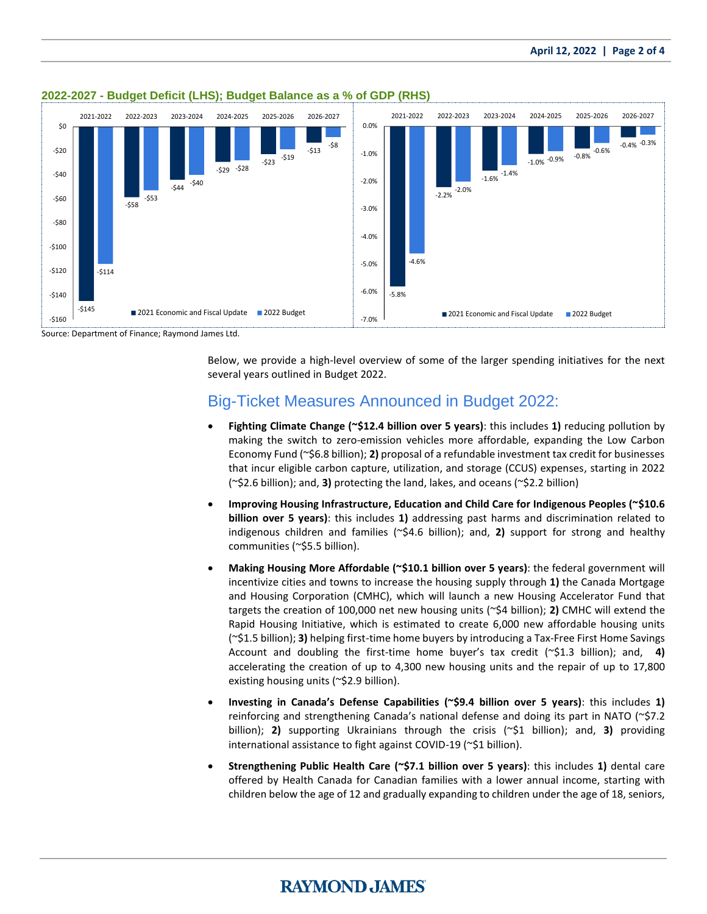

### **2022-2027 - Budget Deficit (LHS); Budget Balance as a % of GDP (RHS)**

Source: Department of Finance; Raymond James Ltd.

Below, we provide a high-level overview of some of the larger spending initiatives for the next several years outlined in Budget 2022.

### Big-Ticket Measures Announced in Budget 2022:

- **Fighting Climate Change (~\$12.4 billion over 5 years)**: this includes **1)** reducing pollution by making the switch to zero-emission vehicles more affordable, expanding the Low Carbon Economy Fund (~\$6.8 billion); **2)** proposal of a refundable investment tax credit for businesses that incur eligible carbon capture, utilization, and storage (CCUS) expenses, starting in 2022 (~\$2.6 billion); and, **3)** protecting the land, lakes, and oceans (~\$2.2 billion)
- **Improving Housing Infrastructure, Education and Child Care for Indigenous Peoples (~\$10.6 billion over 5 years)**: this includes **1)** addressing past harms and discrimination related to indigenous children and families (~\$4.6 billion); and, **2)** support for strong and healthy communities (~\$5.5 billion).
- **Making Housing More Affordable (~\$10.1 billion over 5 years)**: the federal government will incentivize cities and towns to increase the housing supply through **1)** the Canada Mortgage and Housing Corporation (CMHC), which will launch a new Housing Accelerator Fund that targets the creation of 100,000 net new housing units (~\$4 billion); **2)** CMHC will extend the Rapid Housing Initiative, which is estimated to create 6,000 new affordable housing units (~\$1.5 billion); **3)** helping first-time home buyers by introducing a Tax-Free First Home Savings Account and doubling the first-time home buyer's tax credit (~\$1.3 billion); and, **4)** accelerating the creation of up to 4,300 new housing units and the repair of up to 17,800 existing housing units (~\$2.9 billion).
- **Investing in Canada's Defense Capabilities (~\$9.4 billion over 5 years)**: this includes **1)**  reinforcing and strengthening Canada's national defense and doing its part in NATO (~\$7.2 billion); **2)** supporting Ukrainians through the crisis (~\$1 billion); and, **3)** providing international assistance to fight against COVID-19 (~\$1 billion).
- **Strengthening Public Health Care (~\$7.1 billion over 5 years)**: this includes **1)** dental care offered by Health Canada for Canadian families with a lower annual income, starting with children below the age of 12 and gradually expanding to children under the age of 18, seniors,

## **RAYMOND JAMES**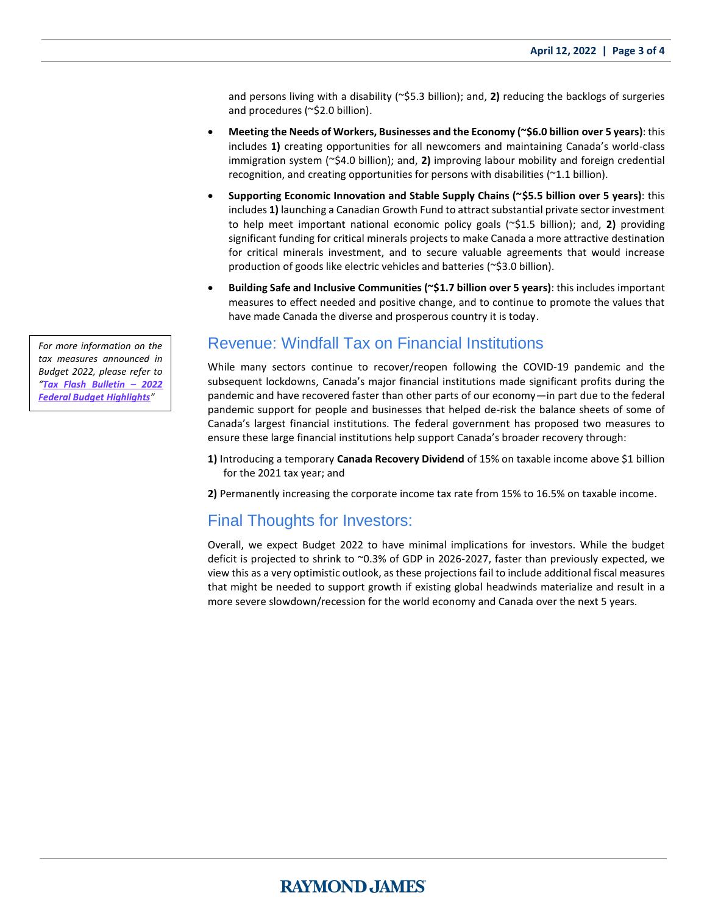and persons living with a disability (~\$5.3 billion); and, **2)** reducing the backlogs of surgeries and procedures (~\$2.0 billion).

- **Meeting the Needs of Workers, Businesses and the Economy (~\$6.0 billion over 5 years)**: this includes **1)** creating opportunities for all newcomers and maintaining Canada's world-class immigration system (~\$4.0 billion); and, **2)** improving labour mobility and foreign credential recognition, and creating opportunities for persons with disabilities (~1.1 billion).
- **Supporting Economic Innovation and Stable Supply Chains (~\$5.5 billion over 5 years)**: this includes **1)** launching a Canadian Growth Fund to attract substantial private sector investment to help meet important national economic policy goals (~\$1.5 billion); and, **2)** providing significant funding for critical minerals projects to make Canada a more attractive destination for critical minerals investment, and to secure valuable agreements that would increase production of goods like electric vehicles and batteries (~\$3.0 billion).
- **Building Safe and Inclusive Communities (~\$1.7 billion over 5 years)**: this includes important measures to effect needed and positive change, and to continue to promote the values that have made Canada the diverse and prosperous country it is today.

### Revenue: Windfall Tax on Financial Institutions

While many sectors continue to recover/reopen following the COVID-19 pandemic and the subsequent lockdowns, Canada's major financial institutions made significant profits during the pandemic and have recovered faster than other parts of our economy—in part due to the federal pandemic support for people and businesses that helped de-risk the balance sheets of some of Canada's largest financial institutions. The federal government has proposed two measures to ensure these large financial institutions help support Canada's broader recovery through:

**1)** Introducing a temporary **Canada Recovery Dividend** of 15% on taxable income above \$1 billion for the 2021 tax year; and

**2)** Permanently increasing the corporate income tax rate from 15% to 16.5% on taxable income.

### Final Thoughts for Investors:

Overall, we expect Budget 2022 to have minimal implications for investors. While the budget deficit is projected to shrink to ~0.3% of GDP in 2026-2027, faster than previously expected, we view this as a very optimistic outlook, as these projections fail to include additional fiscal measures that might be needed to support growth if existing global headwinds materialize and result in a more severe slowdown/recession for the world economy and Canada over the next 5 years.

*For more information on the tax measures announced in Budget 2022, please refer to "[Tax Flash Bulletin](https://www.raymondjames.ca/en_ca/solutions/docs/tax%20flash%20bulletin%20-%20federal%20budget%20highlights%20apr2022_eng.pdf) – 2022 [Federal Budget](https://www.raymondjames.ca/en_ca/solutions/docs/tax%20flash%20bulletin%20-%20federal%20budget%20highlights%20apr2022_eng.pdf) Highlights"*